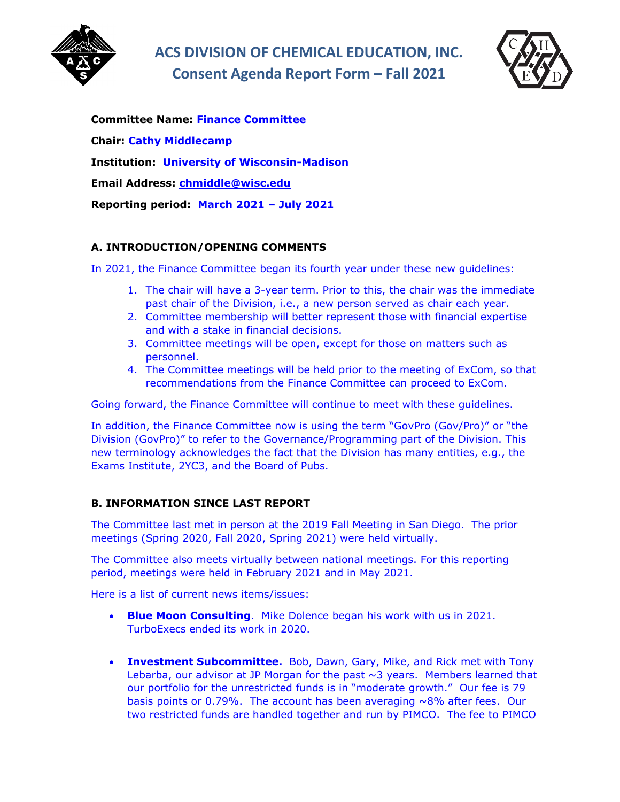

**ACS DIVISION OF CHEMICAL EDUCATION, INC. Consent Agenda Report Form – Fall 2021**



**Committee Name: Finance Committee Chair: Cathy Middlecamp Institution: University of Wisconsin-Madison Email Address: [chmiddle@wisc.edu](mailto:chmiddle@wisc.edu) Reporting period: March 2021 – July 2021**

# **A. INTRODUCTION/OPENING COMMENTS**

In 2021, the Finance Committee began its fourth year under these new guidelines:

- 1. The chair will have a 3-year term. Prior to this, the chair was the immediate past chair of the Division, i.e., a new person served as chair each year.
- 2. Committee membership will better represent those with financial expertise and with a stake in financial decisions.
- 3. Committee meetings will be open, except for those on matters such as personnel.
- 4. The Committee meetings will be held prior to the meeting of ExCom, so that recommendations from the Finance Committee can proceed to ExCom.

Going forward, the Finance Committee will continue to meet with these guidelines.

In addition, the Finance Committee now is using the term "GovPro (Gov/Pro)" or "the Division (GovPro)" to refer to the Governance/Programming part of the Division. This new terminology acknowledges the fact that the Division has many entities, e.g., the Exams Institute, 2YC3, and the Board of Pubs.

# **B. INFORMATION SINCE LAST REPORT**

The Committee last met in person at the 2019 Fall Meeting in San Diego. The prior meetings (Spring 2020, Fall 2020, Spring 2021) were held virtually.

The Committee also meets virtually between national meetings. For this reporting period, meetings were held in February 2021 and in May 2021.

Here is a list of current news items/issues:

- **Blue Moon Consulting**. Mike Dolence began his work with us in 2021. TurboExecs ended its work in 2020.
- **Investment Subcommittee.** Bob, Dawn, Gary, Mike, and Rick met with Tony Lebarba, our advisor at JP Morgan for the past  $\sim$ 3 years. Members learned that our portfolio for the unrestricted funds is in "moderate growth." Our fee is 79 basis points or 0.79%. The account has been averaging  $\sim$ 8% after fees. Our two restricted funds are handled together and run by PIMCO. The fee to PIMCO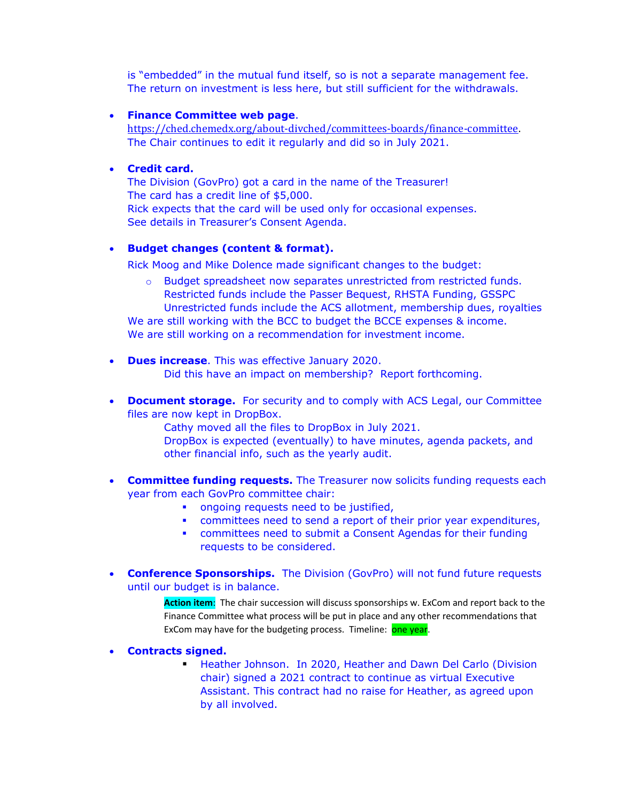is "embedded" in the mutual fund itself, so is not a separate management fee. The return on investment is less here, but still sufficient for the withdrawals.

### • **Finance Committee web page**.

[https://ched.chemedx.org/about-divched/committees-boards/finance-committee.](https://ched.chemedx.org/about-divched/committees-boards/finance-committee) The Chair continues to edit it regularly and did so in July 2021.

#### • **Credit card.**

The Division (GovPro) got a card in the name of the Treasurer! The card has a credit line of \$5,000. Rick expects that the card will be used only for occasional expenses. See details in Treasurer's Consent Agenda.

### • **Budget changes (content & format).**

Rick Moog and Mike Dolence made significant changes to the budget:

o Budget spreadsheet now separates unrestricted from restricted funds. Restricted funds include the Passer Bequest, RHSTA Funding, GSSPC Unrestricted funds include the ACS allotment, membership dues, royalties

We are still working with the BCC to budget the BCCE expenses & income. We are still working on a recommendation for investment income.

- **Dues increase**. This was effective January 2020. Did this have an impact on membership? Report forthcoming.
- **Document storage.** For security and to comply with ACS Legal, our Committee files are now kept in DropBox.

Cathy moved all the files to DropBox in July 2021.

DropBox is expected (eventually) to have minutes, agenda packets, and other financial info, such as the yearly audit.

- **Committee funding requests.** The Treasurer now solicits funding requests each year from each GovPro committee chair:
	- **•** ongoing requests need to be justified,
	- committees need to send a report of their prior year expenditures,
	- committees need to submit a Consent Agendas for their funding requests to be considered.
- **Conference Sponsorships.** The Division (GovPro) will not fund future requests until our budget is in balance.

**Action item**: The chair succession will discuss sponsorships w. ExCom and report back to the Finance Committee what process will be put in place and any other recommendations that ExCom may have for the budgeting process. Timeline: one year.

- **Contracts signed.**
	- **Heather Johnson. In 2020, Heather and Dawn Del Carlo (Division** chair) signed a 2021 contract to continue as virtual Executive Assistant. This contract had no raise for Heather, as agreed upon by all involved.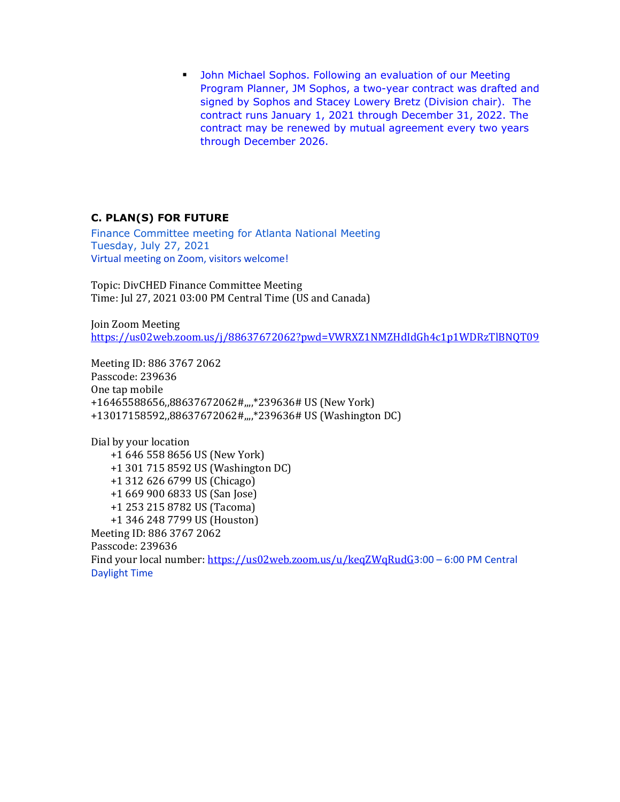**• John Michael Sophos. Following an evaluation of our Meeting** Program Planner, JM Sophos, a two-year contract was drafted and signed by Sophos and Stacey Lowery Bretz (Division chair). The contract runs January 1, 2021 through December 31, 2022. The contract may be renewed by mutual agreement every two years through December 2026.

# **C. PLAN(S) FOR FUTURE**

Finance Committee meeting for Atlanta National Meeting Tuesday, July 27, 2021 Virtual meeting on Zoom, visitors welcome!

Topic: DivCHED Finance Committee Meeting Time: Jul 27, 2021 03:00 PM Central Time (US and Canada)

Join Zoom Meeting <https://us02web.zoom.us/j/88637672062?pwd=VWRXZ1NMZHdIdGh4c1p1WDRzTlBNQT09>

Meeting ID: 886 3767 2062 Passcode: 239636 One tap mobile +16465588656,,88637672062#,,,,\*239636# US (New York) +13017158592,,88637672062#,,,,\*239636# US (Washington DC)

Dial by your location +1 646 558 8656 US (New York) +1 301 715 8592 US (Washington DC) +1 312 626 6799 US (Chicago) +1 669 900 6833 US (San Jose) +1 253 215 8782 US (Tacoma) +1 346 248 7799 US (Houston) Meeting ID: 886 3767 2062 Passcode: 239636 Find your local number:<https://us02web.zoom.us/u/keqZWqRudG>3:00 – 6:00 PM Central Daylight Time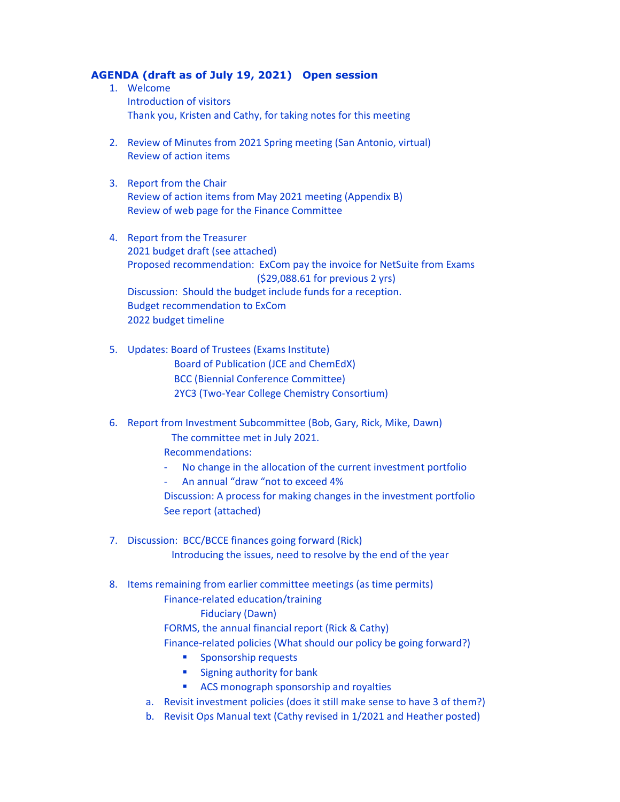### **AGENDA (draft as of July 19, 2021) Open session**

- 1. Welcome Introduction of visitors Thank you, Kristen and Cathy, for taking notes for this meeting
- 2. Review of Minutes from 2021 Spring meeting (San Antonio, virtual) Review of action items
- 3. Report from the Chair Review of action items from May 2021 meeting (Appendix B) Review of web page for the Finance Committee
- 4. Report from the Treasurer 2021 budget draft (see attached) Proposed recommendation: ExCom pay the invoice for NetSuite from Exams (\$29,088.61 for previous 2 yrs) Discussion: Should the budget include funds for a reception. Budget recommendation to ExCom 2022 budget timeline
- 5. Updates: Board of Trustees (Exams Institute) Board of Publication (JCE and ChemEdX) BCC (Biennial Conference Committee) 2YC3 (Two-Year College Chemistry Consortium)

6. Report from Investment Subcommittee (Bob, Gary, Rick, Mike, Dawn)

 The committee met in July 2021. Recommendations:

- No change in the allocation of the current investment portfolio
- An annual "draw "not to exceed 4%

Discussion: A process for making changes in the investment portfolio See report (attached)

- 7. Discussion: BCC/BCCE finances going forward (Rick) Introducing the issues, need to resolve by the end of the year
- 8. Items remaining from earlier committee meetings (as time permits)
	- Finance-related education/training

# Fiduciary (Dawn)

FORMS, the annual financial report (Rick & Cathy)

- Finance-related policies (What should our policy be going forward?)
	- **Sponsorship requests**
	- **Signing authority for bank**
	- **ACS monograph sponsorship and royalties**
- a. Revisit investment policies (does it still make sense to have 3 of them?)
- b. Revisit Ops Manual text (Cathy revised in 1/2021 and Heather posted)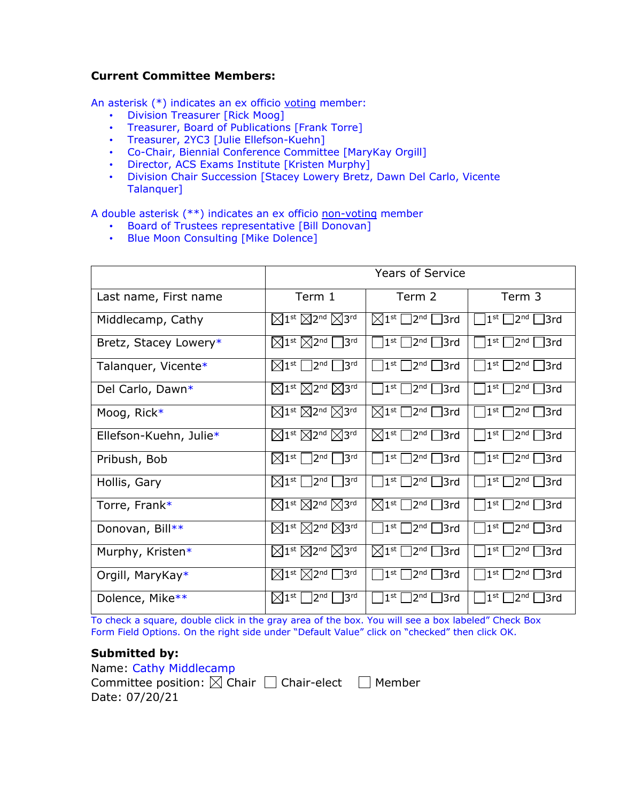# **Current Committee Members:**

An asterisk (\*) indicates an ex officio voting member:

- Division Treasurer [Rick Moog]
- Treasurer, Board of Publications [Frank Torre]
- Treasurer, 2YC3 [Julie Ellefson-Kuehn]
- Co-Chair, Biennial Conference Committee [MaryKay Orgill]
- Director, ACS Exams Institute [Kristen Murphy]
- Division Chair Succession [Stacey Lowery Bretz, Dawn Del Carlo, Vicente Talanquer]

A double asterisk (\*\*) indicates an ex officio non-voting member

- Board of Trustees representative [Bill Donovan]
- Blue Moon Consulting [Mike Dolence]

|                        | <b>Years of Service</b>                                            |                                                                      |                                                        |
|------------------------|--------------------------------------------------------------------|----------------------------------------------------------------------|--------------------------------------------------------|
| Last name, First name  | Term 1                                                             | Term 2                                                               | Term 3                                                 |
| Middlecamp, Cathy      | $\boxtimes$ 1st $\boxtimes$ 2nd $\boxtimes$ 3rd                    | $\boxtimes$ 1st $\square$ 2 <sup>nd</sup> $\square$ 3rd              | 1 <sup>st</sup><br>$\vert$ 2 <sup>nd</sup> $\vert$ 3rd |
| Bretz, Stacey Lowery*  | $\boxtimes$ 1st $\boxtimes$ 2nd<br>3 <sup>rd</sup>                 | $]$ 2 <sup>nd</sup> $[]$ 3rd<br>$1^{\rm st}$                         | 1 <sup>st</sup><br>2 <sub>nd</sub><br>$\Box$ 3rd       |
| Talanquer, Vicente*    | $\boxtimes$ 1st $\Box$ 2nd<br>3 <sup>rd</sup>                      | $]$ 2 $^{\mathsf{nd}}$ $\Box$ 3rd<br>1 <sup>st</sup>                 | $\Box$ 3rd<br>$1^{\rm st}$<br>2 <sub>nd</sub>          |
| Del Carlo, Dawn*       | $\boxtimes$ 1st $\boxtimes$ 2nd $\boxtimes$ 3rd                    | $\lceil 2^{\text{nd}} \rceil$ 3rd<br>$1^{\rm st}$                    | 1 <sup>st</sup><br>2 <sub>nd</sub><br>│ 3rd            |
| Moog, Rick*            | $\boxtimes$ 1st $\boxtimes$ 2nd $\boxtimes$ 3rd                    | $\lceil 2^{nd} \rceil$ 3rd<br>$\boxtimes 1^{\rm st}$ .               | $1^{\rm st}$<br>│ 3rd<br>2 <sub>nd</sub>               |
| Ellefson-Kuehn, Julie* | $\boxtimes$ 1st $\boxtimes$ 2nd $\boxtimes$ 3rd                    | $\sqrt{2^{nd}} \square$ 3rd<br>$\boxtimes 1^{\rm st}$                | $1^{\rm st}$<br>2 <sub>nd</sub><br>l l3rd              |
| Pribush, Bob           | $\boxtimes$ 1st $\Box$ 2nd<br>3 <sup>rd</sup>                      | $\lceil 2^{\mathsf{nd}} \rceil \rceil$ 3rd<br>1 <sup>st</sup>        | 1 <sup>st</sup><br>2 <sup>nd</sup><br>$\Box$ 3rd       |
| Hollis, Gary           | $\sqrt{2^{nd}}$<br>3 <sup>rd</sup><br>$\boxtimes1^{\mathsf{st}}$   | $\sqrt{2^{nd}}$ $\sqrt{3}$ rd<br>1 <sup>st</sup>                     | 1 <sup>st</sup><br>2 <sub>nd</sub><br>l l3rd           |
| Torre, Frank*          | $\boxtimes$ 1st $\boxtimes$ 2nd $\boxtimes$ 3rd                    | $]$ 2 <sup>nd</sup> $]$ 3rd<br>$\boxtimes 1^{\rm st}$ $\Box$         | 1 <sup>st</sup><br>$\Box$ 3rd<br>2 <sup>nd</sup>       |
| Donovan, Bill**        | $\boxtimes$ 1st $\boxtimes$ 2nd $\boxtimes$ 3rd                    | 1 <sup>st</sup><br>$ 2^{nd} $<br>$\exists$ rd                        | 1 <sup>st</sup><br>13rd<br>2 <sub>nd</sub>             |
| Murphy, Kristen*       | $\boxtimes$ 1st $\boxtimes$ 2nd $\boxtimes$ 3rd                    | $\Box$ 3rd<br>$\boxtimes 1^{\text{st}}$  <br>$]$ 2 <sup>nd</sup> $[$ | 1 <sup>st</sup><br>]3rd<br>2 <sub>nd</sub>             |
| Orgill, MaryKay*       | $\boxtimes$ 1st $\boxtimes$ 2nd<br>3 <sup>rd</sup>                 | 3rd<br>$1^{\rm st}$<br>2 <sub>nd</sub>                               | 1 <sup>st</sup><br>3rd]<br>2 <sub>nd</sub>             |
| Dolence, Mike**        | 3 <sup>rd</sup><br>$\boxtimes1^{\mathsf{st}}$  <br>2 <sup>nd</sup> | 1 <sup>st</sup><br>]3rd<br>2 <sup>nd</sup>                           | 1 <sup>st</sup><br>2 <sub>nd</sub><br>13rd             |

To check a square, double click in the gray area of the box. You will see a box labeled" Check Box Form Field Options. On the right side under "Default Value" click on "checked" then click OK.

# **Submitted by:**

Name: Cathy Middlecamp Committee position:  $\boxtimes$  Chair  $\Box$  Chair-elect  $\Box$  Member Date: 07/20/21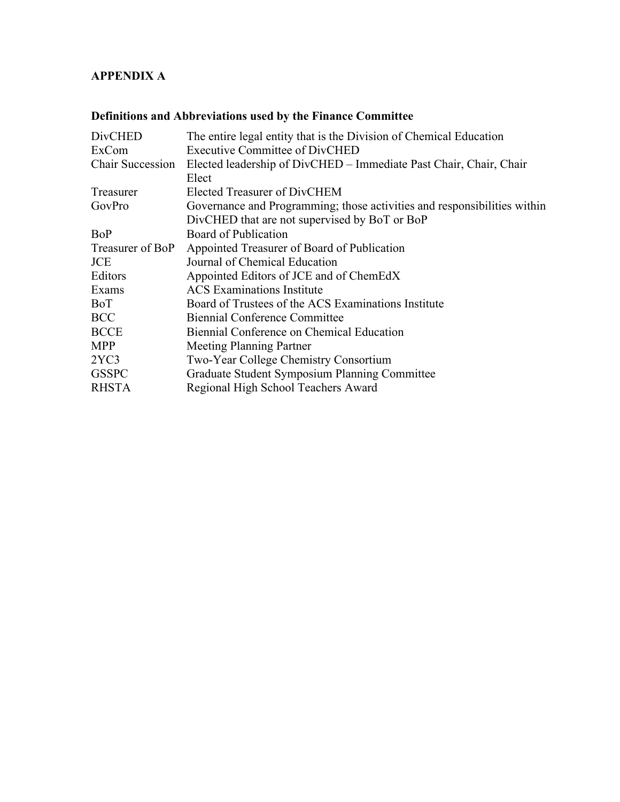# **APPENDIX A**

# **Definitions and Abbreviations used by the Finance Committee**

| <b>DivCHED</b>          | The entire legal entity that is the Division of Chemical Education       |
|-------------------------|--------------------------------------------------------------------------|
| ExCom                   | <b>Executive Committee of DivCHED</b>                                    |
| <b>Chair Succession</b> | Elected leadership of DivCHED - Immediate Past Chair, Chair, Chair       |
|                         | Elect                                                                    |
| Treasurer               | Elected Treasurer of DivCHEM                                             |
| GovPro                  | Governance and Programming; those activities and responsibilities within |
|                         | DivCHED that are not supervised by BoT or BoP                            |
| BoP                     | Board of Publication                                                     |
| Treasurer of BoP        | Appointed Treasurer of Board of Publication                              |
| <b>JCE</b>              | Journal of Chemical Education                                            |
| Editors                 | Appointed Editors of JCE and of ChemEdX                                  |
| Exams                   | <b>ACS</b> Examinations Institute                                        |
| BoT                     | Board of Trustees of the ACS Examinations Institute                      |
| <b>BCC</b>              | <b>Biennial Conference Committee</b>                                     |
| <b>BCCE</b>             | Biennial Conference on Chemical Education                                |
| <b>MPP</b>              | Meeting Planning Partner                                                 |
| 2YC3                    | Two-Year College Chemistry Consortium                                    |
| <b>GSSPC</b>            | Graduate Student Symposium Planning Committee                            |
| <b>RHSTA</b>            | Regional High School Teachers Award                                      |